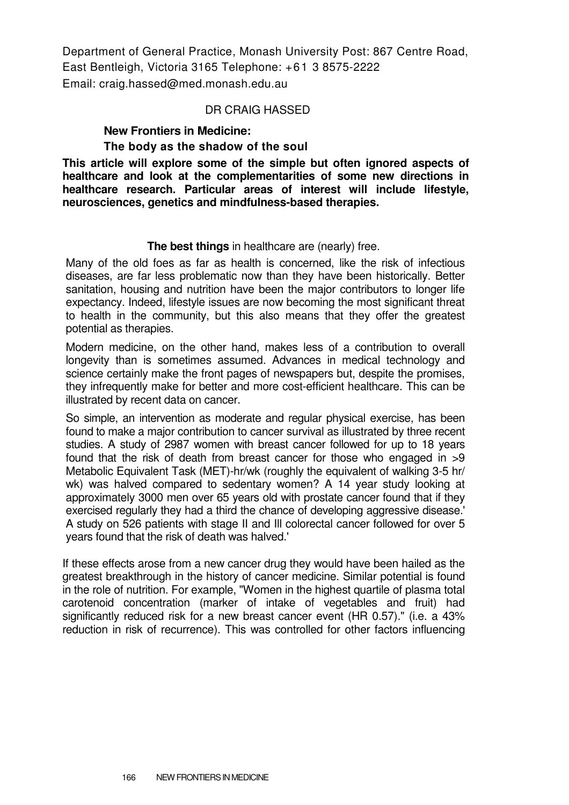Department of General Practice, Monash University Post: 867 Centre Road, East Bentleigh, Victoria 3165 Telephone: +61 3 8575-2222 Email: craig.hassed@med.monash.edu.au

#### DR CRAIG HASSED

# **New Frontiers in Medicine:**

#### **The body as the shadow of the soul**

**This article will explore some of the simple but often ignored aspects of healthcare and look at the complementarities of some new directions in healthcare research. Particular areas of interest will include lifestyle, neurosciences, genetics and mindfulness-based therapies.** 

#### **The best things** in healthcare are (nearly) free.

Many of the old foes as far as health is concerned, like the risk of infectious diseases, are far less problematic now than they have been historically. Better sanitation, housing and nutrition have been the major contributors to longer life expectancy. Indeed, lifestyle issues are now becoming the most significant threat to health in the community, but this also means that they offer the greatest potential as therapies.

Modern medicine, on the other hand, makes less of a contribution to overall longevity than is sometimes assumed. Advances in medical technology and science certainly make the front pages of newspapers but, despite the promises, they infrequently make for better and more cost-efficient healthcare. This can be illustrated by recent data on cancer.

So simple, an intervention as moderate and regular physical exercise, has been found to make a major contribution to cancer survival as illustrated by three recent studies. A study of 2987 women with breast cancer followed for up to 18 years found that the risk of death from breast cancer for those who engaged in >9 Metabolic Equivalent Task (MET)-hr/wk (roughly the equivalent of walking 3-5 hr/ wk) was halved compared to sedentary women? A 14 year study looking at approximately 3000 men over 65 years old with prostate cancer found that if they exercised regularly they had a third the chance of developing aggressive disease.' A study on 526 patients with stage II and Ill colorectal cancer followed for over 5 years found that the risk of death was halved.'

If these effects arose from a new cancer drug they would have been hailed as the greatest breakthrough in the history of cancer medicine. Similar potential is found in the role of nutrition. For example, "Women in the highest quartile of plasma total carotenoid concentration (marker of intake of vegetables and fruit) had significantly reduced risk for a new breast cancer event (HR 0.57)." (i.e. a 43% reduction in risk of recurrence). This was controlled for other factors influencing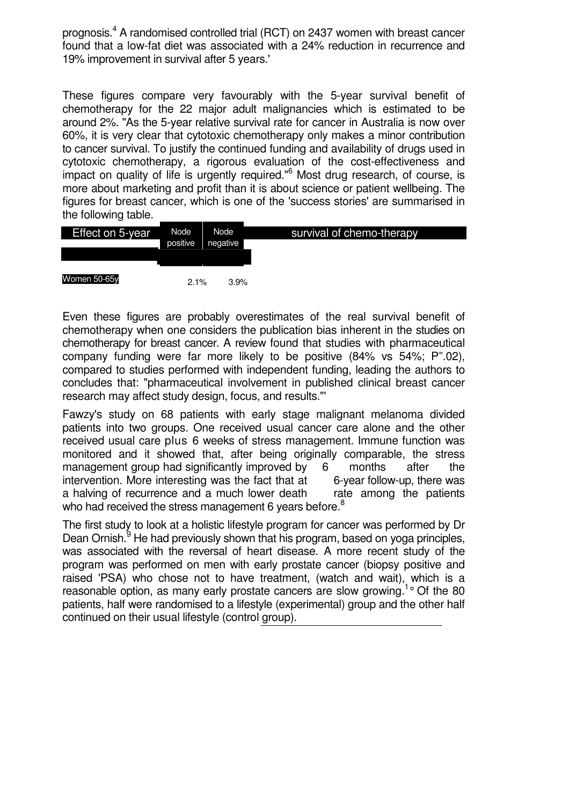prognosis.<sup>4</sup> A randomised controlled trial (RCT) on 2437 women with breast cancer found that a low-fat diet was associated with a 24% reduction in recurrence and 19% improvement in survival after 5 years.'

These figures compare very favourably with the 5-year survival benefit of chemotherapy for the 22 major adult malignancies which is estimated to be around 2%. "As the 5-year relative survival rate for cancer in Australia is now over 60%, it is very clear that cytotoxic chemotherapy only makes a minor contribution to cancer survival. To justify the continued funding and availability of drugs used in cytotoxic chemotherapy, a rigorous evaluation of the cost-effectiveness and impact on quality of life is urgently required."<sup>6</sup> Most drug research, of course, is more about marketing and profit than it is about science or patient wellbeing. The figures for breast cancer, which is one of the 'success stories' are summarised in the following table.

| Effect on 5-year | Node<br>positive | Node<br>negative | survival of chemo-therapy |
|------------------|------------------|------------------|---------------------------|
|                  |                  |                  |                           |
| Women 50-65y     | 2.1%             | 3.9%             |                           |

Even these figures are probably overestimates of the real survival benefit of chemotherapy when one considers the publication bias inherent in the studies on chemotherapy for breast cancer. A review found that studies with pharmaceutical company funding were far more likely to be positive  $(84\% \text{ vs } 54\%; P^=02),$ compared to studies performed with independent funding, leading the authors to concludes that: "pharmaceutical involvement in published clinical breast cancer research may affect study design, focus, and results."'

Fawzy's study on 68 patients with early stage malignant melanoma divided patients into two groups. One received usual cancer care alone and the other received usual care plus 6 weeks of stress management. Immune function was monitored and it showed that, after being originally comparable, the stress management group had significantly improved by 6 months after the intervention. More interesting was the fact that at 6-year follow-up, there was a halving of recurrence and a much lower death rate among the patients who had received the stress management 6 years before.<sup>8</sup>

The first study to look at a holistic lifestyle program for cancer was performed by Dr Dean Ornish.<sup>9</sup> He had previously shown that his program, based on yoga principles, was associated with the reversal of heart disease. A more recent study of the program was performed on men with early prostate cancer (biopsy positive and raised 'PSA) who chose not to have treatment, (watch and wait), which is a reasonable option, as many early prostate cancers are slow growing.<sup>1</sup>° Of the 80 patients, half were randomised to a lifestyle (experimental) group and the other half continued on their usual lifestyle (control group).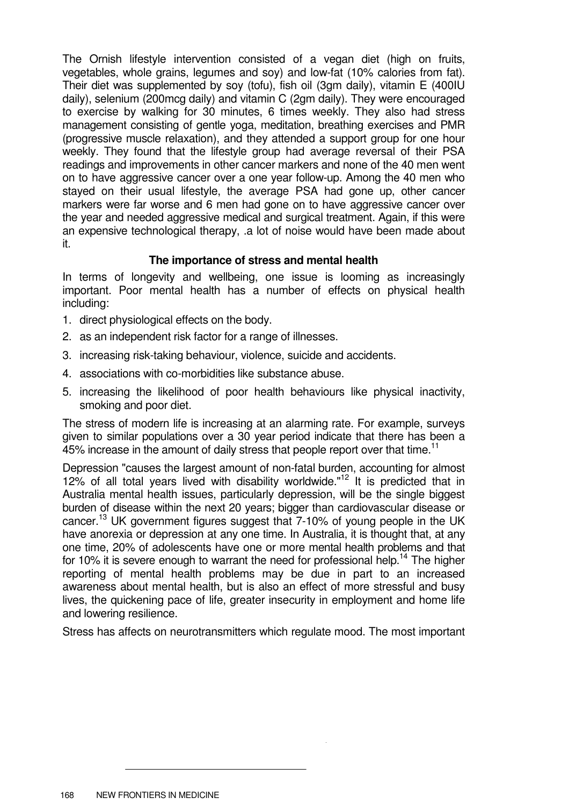The Ornish lifestyle intervention consisted of a vegan diet (high on fruits, vegetables, whole grains, legumes and soy) and low-fat (10% calories from fat). Their diet was supplemented by soy (tofu), fish oil (3gm daily), vitamin E (400IU daily), selenium (200mcg daily) and vitamin C (2gm daily). They were encouraged to exercise by walking for 30 minutes, 6 times weekly. They also had stress management consisting of gentle yoga, meditation, breathing exercises and PMR (progressive muscle relaxation), and they attended a support group for one hour weekly. They found that the lifestyle group had average reversal of their PSA readings and improvements in other cancer markers and none of the 40 men went on to have aggressive cancer over a one year follow-up. Among the 40 men who stayed on their usual lifestyle, the average PSA had gone up, other cancer markers were far worse and 6 men had gone on to have aggressive cancer over the year and needed aggressive medical and surgical treatment. Again, if this were an expensive technological therapy, .a lot of noise would have been made about it.

### **The importance of stress and mental health**

In terms of longevity and wellbeing, one issue is looming as increasingly important. Poor mental health has a number of effects on physical health including:

- 1. direct physiological effects on the body.
- 2. as an independent risk factor for a range of illnesses.
- 3. increasing risk-taking behaviour, violence, suicide and accidents.
- 4. associations with co-morbidities like substance abuse.
- 5. increasing the likelihood of poor health behaviours like physical inactivity, smoking and poor diet.

The stress of modern life is increasing at an alarming rate. For example, surveys given to similar populations over a 30 year period indicate that there has been a 45% increase in the amount of daily stress that people report over that time.<sup>11</sup>

Depression "causes the largest amount of non-fatal burden, accounting for almost 12% of all total years lived with disability worldwide." $12$  It is predicted that in Australia mental health issues, particularly depression, will be the single biggest burden of disease within the next 20 years; bigger than cardiovascular disease or cancer.<sup>13</sup> UK government figures suggest that 7-10% of young people in the UK have anorexia or depression at any one time. In Australia, it is thought that, at any one time, 20% of adolescents have one or more mental health problems and that for 10% it is severe enough to warrant the need for professional help.<sup>14</sup> The higher reporting of mental health problems may be due in part to an increased awareness about mental health, but is also an effect of more stressful and busy lives, the quickening pace of life, greater insecurity in employment and home life and lowering resilience.

Stress has affects on neurotransmitters which regulate mood. The most important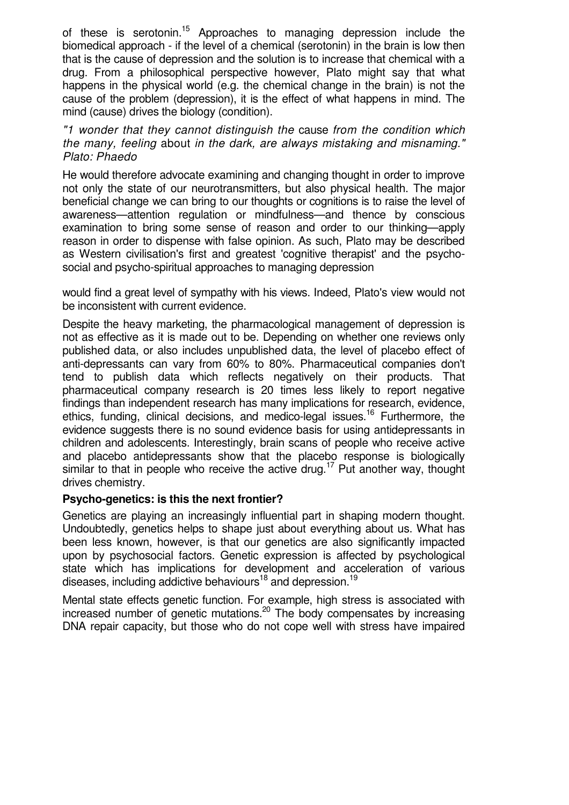of these is serotonin.<sup>15</sup> Approaches to managing depression include the biomedical approach - if the level of a chemical (serotonin) in the brain is low then that is the cause of depression and the solution is to increase that chemical with a drug. From a philosophical perspective however, Plato might say that what happens in the physical world (e.g. the chemical change in the brain) is not the cause of the problem (depression), it is the effect of what happens in mind. The mind (cause) drives the biology (condition).

"1 wonder that they cannot distinguish the cause from the condition which the many, feeling about in the dark, are always mistaking and misnaming." Plato: Phaedo

He would therefore advocate examining and changing thought in order to improve not only the state of our neurotransmitters, but also physical health. The major beneficial change we can bring to our thoughts or cognitions is to raise the level of awareness—attention regulation or mindfulness—and thence by conscious examination to bring some sense of reason and order to our thinking—apply reason in order to dispense with false opinion. As such, Plato may be described as Western civilisation's first and greatest 'cognitive therapist' and the psychosocial and psycho-spiritual approaches to managing depression

would find a great level of sympathy with his views. Indeed, Plato's view would not be inconsistent with current evidence.

Despite the heavy marketing, the pharmacological management of depression is not as effective as it is made out to be. Depending on whether one reviews only published data, or also includes unpublished data, the level of placebo effect of anti-depressants can vary from 60% to 80%. Pharmaceutical companies don't tend to publish data which reflects negatively on their products. That pharmaceutical company research is 20 times less likely to report negative findings than independent research has many implications for research, evidence, ethics, funding, clinical decisions, and medico-legal issues.<sup>16</sup> Furthermore, the evidence suggests there is no sound evidence basis for using antidepressants in children and adolescents. Interestingly, brain scans of people who receive active and placebo antidepressants show that the placebo response is biologically similar to that in people who receive the active drug.<sup>17</sup> Put another way, thought drives chemistry.

#### **Psycho-genetics: is this the next frontier?**

Genetics are playing an increasingly influential part in shaping modern thought. Undoubtedly, genetics helps to shape just about everything about us. What has been less known, however, is that our genetics are also significantly impacted upon by psychosocial factors. Genetic expression is affected by psychological state which has implications for development and acceleration of various diseases, including addictive behaviours<sup>18</sup> and depression.<sup>19</sup>

Mental state effects genetic function. For example, high stress is associated with increased number of genetic mutations.<sup>20</sup> The body compensates by increasing DNA repair capacity, but those who do not cope well with stress have impaired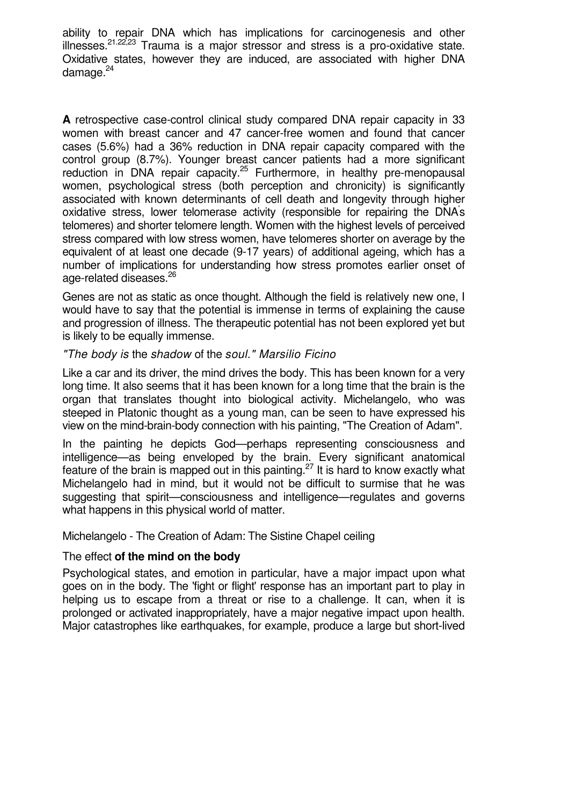ability to repair DNA which has implications for carcinogenesis and other illnesses.<sup>21.22,23</sup> Trauma is a major stressor and stress is a pro-oxidative state. Oxidative states, however they are induced, are associated with higher DNA damage. $24$ 

**A** retrospective case-control clinical study compared DNA repair capacity in 33 women with breast cancer and 47 cancer-free women and found that cancer cases (5.6%) had a 36% reduction in DNA repair capacity compared with the control group (8.7%). Younger breast cancer patients had a more significant reduction in DNA repair capacity.<sup>25</sup> Furthermore, in healthy pre-menopausal women, psychological stress (both perception and chronicity) is significantly associated with known determinants of cell death and longevity through higher oxidative stress, lower telomerase activity (responsible for repairing the DNA' s telomeres) and shorter telomere length. Women with the highest levels of perceived stress compared with low stress women, have telomeres shorter on average by the equivalent of at least one decade (9-17 years) of additional ageing, which has a number of implications for understanding how stress promotes earlier onset of age-related diseases.<sup>26</sup>

Genes are not as static as once thought. Although the field is relatively new one, I would have to say that the potential is immense in terms of explaining the cause and progression of illness. The therapeutic potential has not been explored yet but is likely to be equally immense.

#### "The body is the shadow of the soul." Marsilio Ficino

Like a car and its driver, the mind drives the body. This has been known for a very long time. It also seems that it has been known for a long time that the brain is the organ that translates thought into biological activity. Michelangelo, who was steeped in Platonic thought as a young man, can be seen to have expressed his view on the mind-brain-body connection with his painting, "The Creation of Adam".

In the painting he depicts God—perhaps representing consciousness and intelligence—as being enveloped by the brain. Every significant anatomical feature of the brain is mapped out in this painting.<sup>27</sup> It is hard to know exactly what Michelangelo had in mind, but it would not be difficult to surmise that he was suggesting that spirit—consciousness and intelligence—regulates and governs what happens in this physical world of matter.

Michelangelo - The Creation of Adam: The Sistine Chapel ceiling

#### The effect **of the mind on the body**

Psychological states, and emotion in particular, have a major impact upon what goes on in the body. The 'fight or flight' response has an important part to play in helping us to escape from a threat or rise to a challenge. It can, when it is prolonged or activated inappropriately, have a major negative impact upon health. Major catastrophes like earthquakes, for example, produce a large but short-lived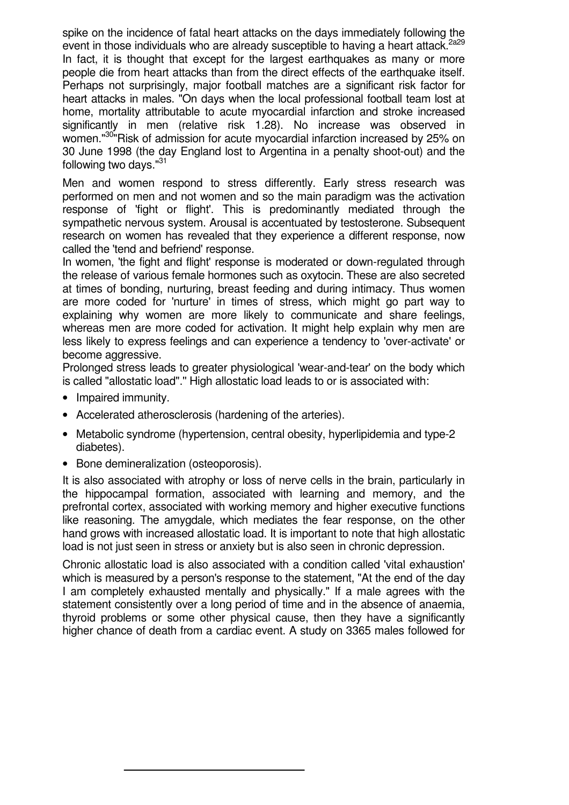spike on the incidence of fatal heart attacks on the days immediately following the event in those individuals who are already susceptible to having a heart attack.<sup>2a29</sup> In fact, it is thought that except for the largest earthquakes as many or more people die from heart attacks than from the direct effects of the earthquake itself. Perhaps not surprisingly, major football matches are a significant risk factor for heart attacks in males. "On days when the local professional football team lost at home, mortality attributable to acute myocardial infarction and stroke increased significantly in men (relative risk 1.28). No increase was observed in women."<sup>30</sup>"Risk of admission for acute myocardial infarction increased by 25% on 30 June 1998 (the day England lost to Argentina in a penalty shoot-out) and the following two days."<sup>31</sup>

Men and women respond to stress differently. Early stress research was performed on men and not women and so the main paradigm was the activation response of 'fight or flight'. This is predominantly mediated through the sympathetic nervous system. Arousal is accentuated by testosterone. Subsequent research on women has revealed that they experience a different response, now called the 'tend and befriend' response.

In women, 'the fight and flight' response is moderated or down-regulated through the release of various female hormones such as oxytocin. These are also secreted at times of bonding, nurturing, breast feeding and during intimacy. Thus women are more coded for 'nurture' in times of stress, which might go part way to explaining why women are more likely to communicate and share feelings, whereas men are more coded for activation. It might help explain why men are less likely to express feelings and can experience a tendency to 'over-activate' or become aggressive.

Prolonged stress leads to greater physiological 'wear-and-tear' on the body which is called "allostatic load".'' High allostatic load leads to or is associated with:

- Impaired immunity.
- Accelerated atherosclerosis (hardening of the arteries).
- Metabolic syndrome (hypertension, central obesity, hyperlipidemia and type-2 diabetes).
- Bone demineralization (osteoporosis).

It is also associated with atrophy or loss of nerve cells in the brain, particularly in the hippocampal formation, associated with learning and memory, and the prefrontal cortex, associated with working memory and higher executive functions like reasoning. The amygdale, which mediates the fear response, on the other hand grows with increased allostatic load. It is important to note that high allostatic load is not just seen in stress or anxiety but is also seen in chronic depression.

Chronic allostatic load is also associated with a condition called 'vital exhaustion' which is measured by a person's response to the statement, "At the end of the day I am completely exhausted mentally and physically." If a male agrees with the statement consistently over a long period of time and in the absence of anaemia, thyroid problems or some other physical cause, then they have a significantly higher chance of death from a cardiac event. A study on 3365 males followed for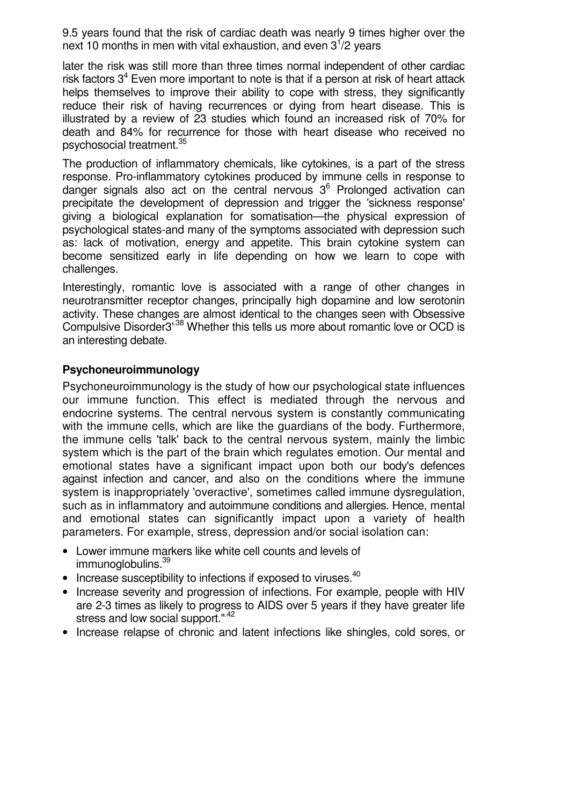9.5 years found that the risk of cardiac death was nearly 9 times higher over the next 10 months in men with vital exhaustion, and even  $3^{1/2}$  years

later the risk was still more than three times normal independent of other cardiac risk factors  $3<sup>4</sup>$  Even more important to note is that if a person at risk of heart attack helps themselves to improve their ability to cope with stress, they significantly reduce their risk of having recurrences or dying from heart disease. This is illustrated by a review of 23 studies which found an increased risk of 70% for death and 84% for recurrence for those with heart disease who received no psychosocial treatment.<sup>35</sup>

The production of inflammatory chemicals, like cytokines, is a part of the stress response. Pro-inflammatory cytokines produced by immune cells in response to danger signals also act on the central nervous  $3<sup>6</sup>$  Prolonged activation can precipitate the development of depression and trigger the 'sickness response' giving a biological explanation for somatisation—the physical expression of psychological states-and many of the symptoms associated with depression such as: lack of motivation, energy and appetite. This brain cytokine system can become sensitized early in life depending on how we learn to cope with challenges.

Interestingly, romantic love is associated with a range of other changes in neurotransmitter receptor changes, principally high dopamine and low serotonin activity. These changes are almost identical to the changes seen with Obsessive Compulsive Disorder3'.38 Whether this tells us more about romantic love or OCD is an interesting debate.

#### **Psychoneuroimmunology**

Psychoneuroimmunology is the study of how our psychological state influences our immune function. This effect is mediated through the nervous and endocrine systems. The central nervous system is constantly communicating with the immune cells, which are like the guardians of the body. Furthermore, the immune cells 'talk' back to the central nervous system, mainly the limbic system which is the part of the brain which regulates emotion. Our mental and emotional states have a significant impact upon both our body's defences against infection and cancer, and also on the conditions where the immune system is inappropriately 'overactive', sometimes called immune dysregulation, such as in inflammatory and autoimmune conditions and allergies. Hence, mental and emotional states can significantly impact upon a variety of health parameters. For example, stress, depression and/or social isolation can:

- Lower immune markers like white cell counts and levels of immunoglobulins.<sup>39</sup>
- Increase susceptibility to infections if exposed to viruses. $40$
- Increase severity and progression of infections. For example, people with HIV are 2-3 times as likely to progress to AIDS over 5 years if they have greater life stress and low social support.".42
- Increase relapse of chronic and latent infections like shingles, cold sores, or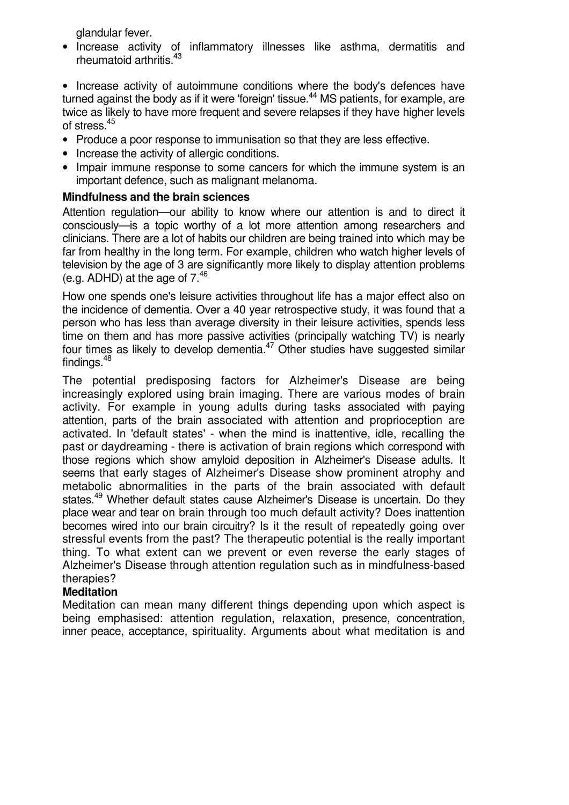glandular fever.

• Increase activity of inflammatory illnesses like asthma, dermatitis and rheumatoid arthritis.<sup>43</sup>

• Increase activity of autoimmune conditions where the body's defences have turned against the body as if it were 'foreign' tissue.<sup>44</sup> MS patients, for example, are twice as likely to have more frequent and severe relapses if they have higher levels of stress.<sup>45</sup>

- Produce a poor response to immunisation so that they are less effective.
- Increase the activity of allergic conditions.
- Impair immune response to some cancers for which the immune system is an important defence, such as malignant melanoma.

#### **Mindfulness and the brain sciences**

Attention regulation—our ability to know where our attention is and to direct it consciously—is a topic worthy of a lot more attention among researchers and clinicians. There are a lot of habits our children are being trained into which may be far from healthy in the long term. For example, children who watch higher levels of television by the age of 3 are significantly more likely to display attention problems (e.g. ADHD) at the age of  $7<sup>46</sup>$ 

How one spends one's leisure activities throughout life has a major effect also on the incidence of dementia. Over a 40 year retrospective study, it was found that a person who has less than average diversity in their leisure activities, spends less time on them and has more passive activities (principally watching TV) is nearly four times as likely to develop dementia.<sup>47</sup> Other studies have suggested similar findings.<sup>48</sup>

The potential predisposing factors for Alzheimer's Disease are being increasingly explored using brain imaging. There are various modes of brain activity. For example in young adults during tasks associated with paying attention, parts of the brain associated with attention and proprioception are activated. In 'default states' - when the mind is inattentive, idle, recalling the past or daydreaming - there is activation of brain regions which correspond with those regions which show amyloid deposition in Alzheimer's Disease adults. It seems that early stages of Alzheimer's Disease show prominent atrophy and metabolic abnormalities in the parts of the brain associated with default states.<sup>49</sup> Whether default states cause Alzheimer's Disease is uncertain. Do they place wear and tear on brain through too much default activity? Does inattention becomes wired into our brain circuitry? Is it the result of repeatedly going over stressful events from the past? The therapeutic potential is the really important thing. To what extent can we prevent or even reverse the early stages of Alzheimer's Disease through attention regulation such as in mindfulness-based therapies?

#### **Meditation**

Meditation can mean many different things depending upon which aspect is being emphasised: attention regulation, relaxation, presence, concentration, inner peace, acceptance, spirituality. Arguments about what meditation is and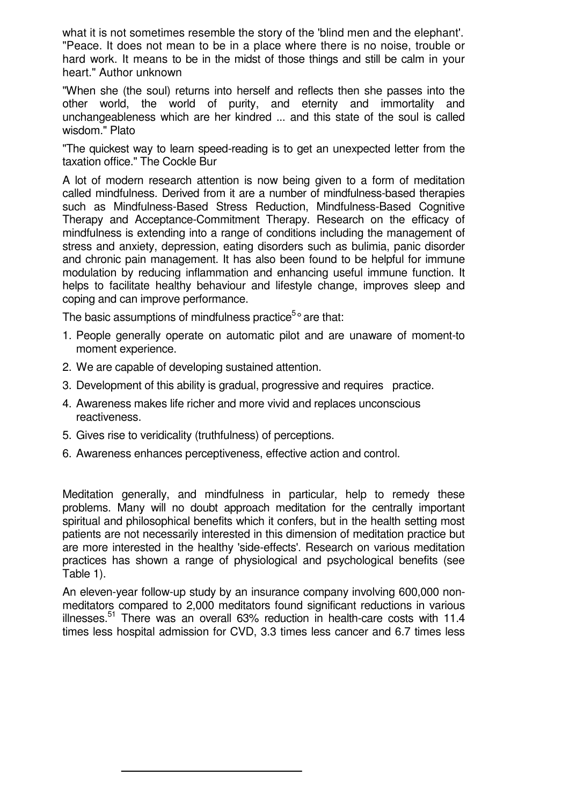what it is not sometimes resemble the story of the 'blind men and the elephant'. "Peace. It does not mean to be in a place where there is no noise, trouble or hard work. It means to be in the midst of those things and still be calm in your heart." Author unknown

"When she (the soul) returns into herself and reflects then she passes into the other world, the world of purity, and eternity and immortality and unchangeableness which are her kindred ... and this state of the soul is called wisdom." Plato

"The quickest way to learn speed-reading is to get an unexpected letter from the taxation office." The Cockle Bur

A lot of modern research attention is now being given to a form of meditation called mindfulness. Derived from it are a number of mindfulness-based therapies such as Mindfulness-Based Stress Reduction, Mindfulness-Based Cognitive Therapy and Acceptance-Commitment Therapy. Research on the efficacy of mindfulness is extending into a range of conditions including the management of stress and anxiety, depression, eating disorders such as bulimia, panic disorder and chronic pain management. It has also been found to be helpful for immune modulation by reducing inflammation and enhancing useful immune function. It helps to facilitate healthy behaviour and lifestyle change, improves sleep and coping and can improve performance.

The basic assumptions of mindfulness practice<sup>5</sup>° are that:

- 1. People generally operate on automatic pilot and are unaware of moment-to moment experience.
- 2. We are capable of developing sustained attention.
- 3. Development of this ability is gradual, progressive and requires practice.
- 4. Awareness makes life richer and more vivid and replaces unconscious reactiveness.
- 5. Gives rise to veridicality (truthfulness) of perceptions.
- 6. Awareness enhances perceptiveness, effective action and control.

Meditation generally, and mindfulness in particular, help to remedy these problems. Many will no doubt approach meditation for the centrally important spiritual and philosophical benefits which it confers, but in the health setting most patients are not necessarily interested in this dimension of meditation practice but are more interested in the healthy 'side-effects'. Research on various meditation practices has shown a range of physiological and psychological benefits (see Table 1).

An eleven-year follow-up study by an insurance company involving 600,000 nonmeditators compared to 2,000 meditators found significant reductions in various illnesses.<sup>51</sup> There was an overall  $63\%$  reduction in health-care costs with 11.4 times less hospital admission for CVD, 3.3 times less cancer and 6.7 times less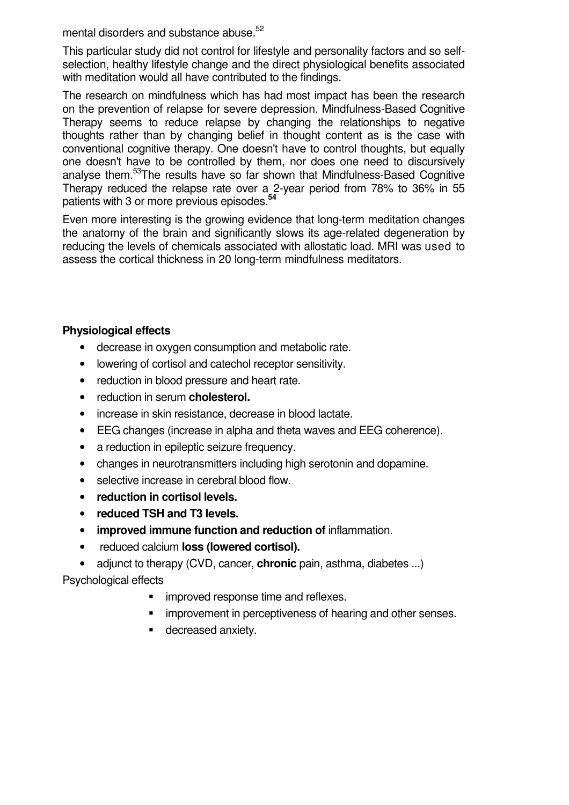mental disorders and substance abuse.<sup>52</sup>

This particular study did not control for lifestyle and personality factors and so selfselection, healthy lifestyle change and the direct physiological benefits associated with meditation would all have contributed to the findings.

The research on mindfulness which has had most impact has been the research on the prevention of relapse for severe depression. Mindfulness-Based Cognitive Therapy seems to reduce relapse by changing the relationships to negative thoughts rather than by changing belief in thought content as is the case with conventional cognitive therapy. One doesn't have to control thoughts, but equally one doesn't have to be controlled by them, nor does one need to discursively analyse them.<sup>53</sup>The results have so far shown that Mindfulness-Based Cognitive Therapy reduced the relapse rate over a 2-year period from 78% to 36% in 55 patients with 3 or more previous episodes.**<sup>54</sup>**

Even more interesting is the growing evidence that long-term meditation changes the anatomy of the brain and significantly slows its age-related degeneration by reducing the levels of chemicals associated with allostatic load. MRI was used to assess the cortical thickness in 20 long-term mindfulness meditators.

### **Physiological effects**

- decrease in oxygen consumption and metabolic rate.
- lowering of cortisol and catechol receptor sensitivity.
- reduction in blood pressure and heart rate.
- reduction in serum **cholesterol.**
- increase in skin resistance, decrease in blood lactate.
- EEG changes (increase in alpha and theta waves and EEG coherence).
- a reduction in epileptic seizure frequency.
- changes in neurotransmitters including high serotonin and dopamine.
- selective increase in cerebral blood flow.
- **reduction in cortisol levels.**
- **reduced TSH and T3 levels.**
- **improved immune function and reduction of** inflammation.
- reduced calcium **loss (lowered cortisol).**
- adjunct to therapy (CVD, cancer, **chronic** pain, asthma, diabetes ...)

Psychological effects

- **Inproved response time and reflexes.**
- improvement in perceptiveness of hearing and other senses.
- **decreased anxiety.**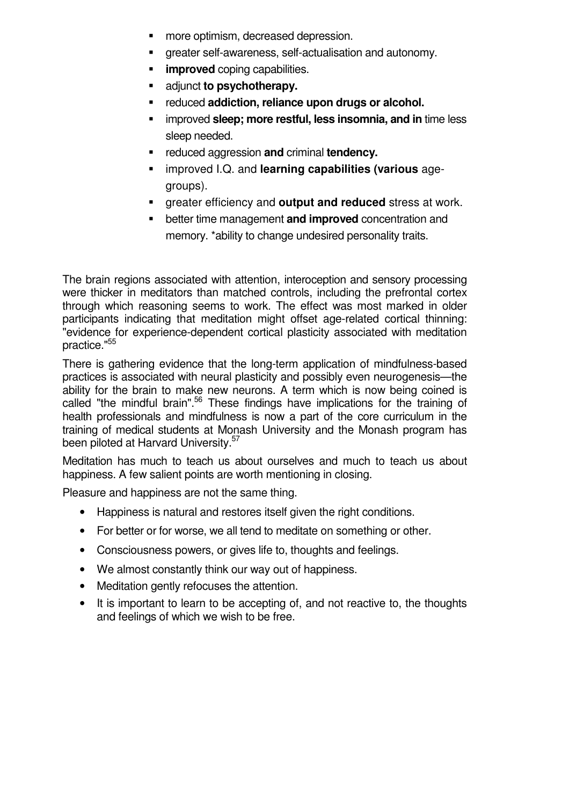- more optimism, decreased depression.
- greater self-awareness, self-actualisation and autonomy.
- **improved** coping capabilities.
- adjunct **to psychotherapy.**
- reduced **addiction, reliance upon drugs or alcohol.**
- improved **sleep; more restful, less insomnia, and in** time less sleep needed.
- reduced aggression **and** criminal **tendency.**
- improved I.Q. and **learning capabilities (various** agegroups).
- greater efficiency and **output and reduced** stress at work.
- better time management **and improved** concentration and memory. \*ability to change undesired personality traits.

The brain regions associated with attention, interoception and sensory processing were thicker in meditators than matched controls, including the prefrontal cortex through which reasoning seems to work. The effect was most marked in older participants indicating that meditation might offset age-related cortical thinning: "evidence for experience-dependent cortical plasticity associated with meditation practice."<sup>55</sup>

There is gathering evidence that the long-term application of mindfulness-based practices is associated with neural plasticity and possibly even neurogenesis—the ability for the brain to make new neurons. A term which is now being coined is called "the mindful brain".<sup>56</sup> These findings have implications for the training of health professionals and mindfulness is now a part of the core curriculum in the training of medical students at Monash University and the Monash program has been piloted at Harvard University.<sup>57</sup>

Meditation has much to teach us about ourselves and much to teach us about happiness. A few salient points are worth mentioning in closing.

Pleasure and happiness are not the same thing.

- Happiness is natural and restores itself given the right conditions.
- For better or for worse, we all tend to meditate on something or other.
- Consciousness powers, or gives life to, thoughts and feelings.
- We almost constantly think our way out of happiness.
- Meditation gently refocuses the attention.
- It is important to learn to be accepting of, and not reactive to, the thoughts and feelings of which we wish to be free.